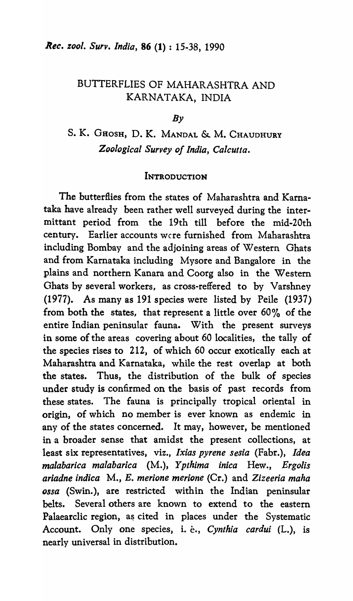# BUTTERFLIES OF MAHARASHTRA AND KARNATAKA, INDIA

## $Bv$

# S. K. GHOSH, D. K. MANDAL & M. CHAUDHURY *Zoological Survey of India, Calcutta.*

## **INTRODUCTION**

The butterflies from the states of Maharashtra and Kamataka have already been rather well surveyed during the intermittant period from the 19th till before the mid-20th century. Earlier accounts were furnished from Maharashtra including Bombay and the adjoining areas of Western Ghats and from Karnataka including Mysore and Bangalore in the plains and northern Kanara and Coorg also in the Western Ghats by several workers, as cross-reffered to by Varshney (1977). As many as 191 species were listed by Peile (1937) from both the states, that represent a little over 60% of the entire Indian peninsular fauna. With the present surveys in some of the areas covering about 60 localities, the tally of the species rises to 212, of which 60 occur exotically each at Maharashtra and Karnataka, while the rest overlap at both the states. Thus, the distribution of the bulk of species under study is confirmed on the basis of past records from these states. The fauna is principally tropical oriental in origin, of which no member is ever known as endemic in any of the states concerned. It may, however, be mentioned in a broader sense that amidst the present collections, at least six representatives, viz., *Ixias pyrene sesia* (Fabr.), *Idea malabarica malabarica* (M.), *Ypthima inica* Hew., *Ergolis ariadne indica* M., *E. merione merione* (Cr.) and *Zizeeria maha ossa* (Swin.), are restricted within the Indian peninsular belts. Several others are known to extend to the eastern Palaearclic region, as cited in places under the Systematic Account. Only one species, i. *è.*, *Cynthia cardui* (L.), is nearly universal in distribution.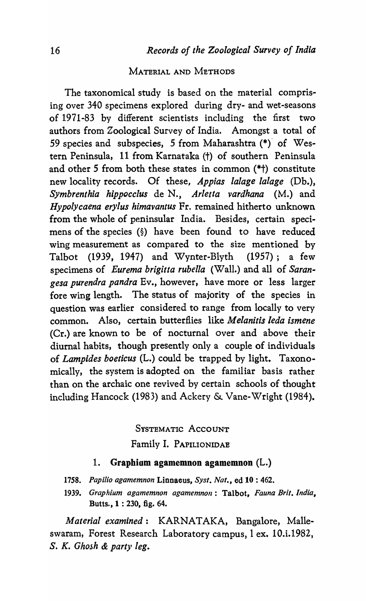# MATERIAL AND METHODS

The taxonomical study is based on the material comprising over 340 specimens explored during dry- and wet-seasons of 1971-83 by different scientists including the first two authors from Zoological Survey of India. Amongst a total of 59 species and subspecies, 5 from Maharashtra (\*)" of Western Peninsula, 11 from Karnataka (t) of southern Peninsula and other 5 from both these states in common (\*t) constitute new locality records. Of these, *Appias lalage lalage* (Db.), *Symbrenthia hippocclus* de N., *Arletta vardhana* (M.) and *HypolYcaena erylus himavantus* Fr. remained hitherto unknown from the whole of peninsular India. Besides, certain specimens of the species (§) have been found to have reduced wing measurement as compared to the size mentioned by Talbot (1939, 1947) and Wynter-Blyth (1957); a few specimens of *Eurema brigitta rubella* (Wall.) and all of *Sarangesa purendra pandra* Ev., however, have more or less larger fore wing length. The status of majority of the species in question was earlier considered to range from locally to very common. Also, certain butterflies like *M elanitis leda ismene*  (Cr.) are known to be of nocturnal over and above their diurnal habits, though presently only a couple of individuals of *Lampides boeticus* (L.) could be trapped by light. Taxonomically, the system is adopted on the familiar basis rather than on the archaic one revived by certain schools of thought including Hancock (1983) and Ackery & Vane-Wright (1984).

> SYSTEMATIC ACCOUNT Family I. PAPILIONIDAE

# 1. Graphiom agamemnon agamemnon (L.)

- *1758. Papilio agamemnon* Linnaeus, *Syst. Nat.,* ed 10 : 462.
- 1939. Graphium agamemnon agamemnon: Talbot, *Fauna Brit. India*, Butts., 1 : 230, fig. 64.

*Material examined:* KARNATAKA, Bangalore, Malleswaram, Forest Research Laboratory campus, I ex. 10.i.1982, S. K. *Ghosh* & *party leg.*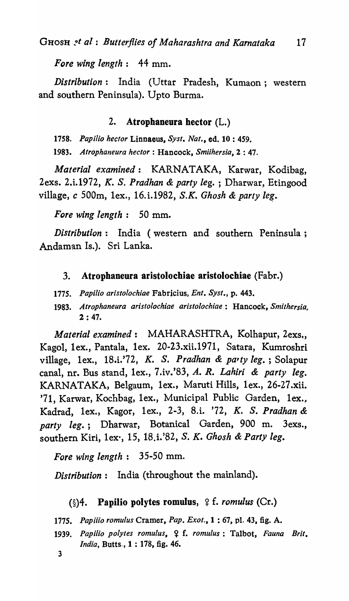*Fore wing length:* 44 mm.

*Distribution*: India (Uttar Pradesh, Kumaon; western and southern Peninsula). Upto Burma.

## 2. Atrophaneura hector (L.)

1758. Papilio hector Linnaeus, Syst. Nat., ed. 10:459.

*1983. Atrophalleura hector:* Hancock, *Smiihersia,* 2 : 47.

*Material examined:* KARNATAKA, Karwar, Kodibag, 2exs. 2.i.1972, *K.* S. *Pradhan* & *party leg.* ; Dharwar, Etingood village, *c* 500m, lex., 16. i.1982, *S.K. Ghosh* & *party* le~.

*Fore wing length:* 50 mm.

*Distribution:* India (western and southern Peninsula; Andaman Is.). Sri Lanka.

- 3. Atrophaneura aristolochiae aristolochiae (Fabr.)
- *1775. Papi/io aristolochiae* Fabricius, *Ent. Syst.,* p. 443.
- *1983. Atrophaneura aristolochiae aristolochiae:* Hancock, *Smithersia,*  2 : 47.

*Material examined:* MAHARASHTRA, Kolhapur, 2exs., Kagol, lex., Pantala, lex. 20-23.xii.1971, Satara, Kumroshri village, lex., 18.i.'72, *K.* S. *Pradhan* & *pa'ty leg.* ; Solapur canal, nr. Bus stand, lex., 7.iv.'83, *A. R. Lahiri* & *party leg.*  KARNATAKA, Belgaum, lex., Maruti Hills, lex., 26-27.xii. '71, Karwar, Kochbag, lex., Municipal Public Garden, lex., Kadrad, lex., Kagor, lex., 2-3, 8.i. '72, *K.* S. *Pradhan* & *party leg.;* Dharwar, Botanical Garden, 900 m. 3exs., southern Kiri, lex', 15, l8.i.'82, S. *K. Ghosh* & *Party leg.* 

*Fore wing length:* 35-50 mm.

*Distribution:* India (throughout the mainland).

## $(\S)$ 4. Papilio polytes romulus,  $\S$  f. *romulus* (Cr.)

1775. Papiiio romulus Cramer, Pap. Exot., 1:67, pl. 43, fig. A.

- 1939. Papilio polytes romulus, 9 f. romulus: Talbot, Fauna Brit. *India,* Butts., 1 : 178, fig. 46.
- 3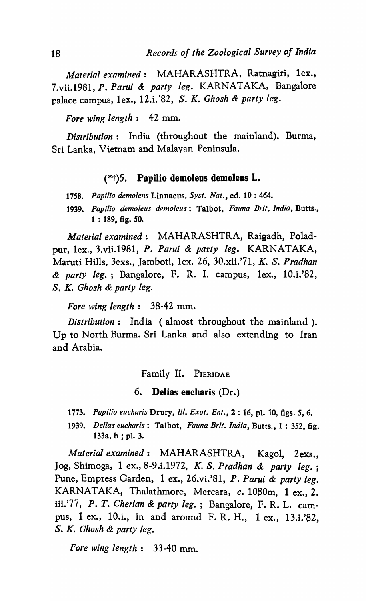*Material examined:* MAHARASHTRA, Ratnagiri, lex., 7.vii.~981, *P. Parui* & *party leg.* KARNATAKA, Bangalore palace campus, lex., l2.i.'82, S. *K. Ghosh* & *party leg.* 

*Fore wing length:* 42 mm.

*Distribution:* India (throughout the mainland). Burma, Sri Lanka, Vietnam and Malayan Peninsula.

## $(*<sub>†</sub>)$ 5. Papilio demoleus demoleus L.

1758. Papilio demolens Linnaeus, Syst. Nat., ed. 10:464.

*1939. Papilio demoleus dpmoleus:* Talbot, *Fauna Brit. India,* Butts., 1 : 189, fig. *SO.* 

*Material examined:* MAHARASHTRA, Raigadh, Poladpur, lex., 3.vii.l981, *P. Parui* & *party leg.* KARNATAKA, Maruti Hills, 3exs., Jamboti, lex. 26, 30.xii.'71, *K.* S. *Pradhan & party leg.;* Bangalore, F. R. I. campus, lex., IO.i.'82, S. *K. Ghosh* & *party leg.* 

*Fore wing length:* 38-42 mm.

*Distribution:* India (almost throughout the mainland ). Up to North Burma. Sri Lanka and also extending to Iran and Arabia.

Family II. PIERIDAE

6. Delias eucharis (Dr.)

*1773. Papilio eucharis* Drury, Ill. *Exol. Ent.,* 2 : 16, pl. 10, figs. 5, 6.

*1939. Delias eucharis:* Talbot, *Fauna Brit. India,* Butts., 1 : 352, fig. 133a, b ; pl. 3.

*Material examined:* MAHARASHTRA, Kagol, 2exs., Jog, Shimoga, lex., 8-9.i.l972, *K.* S. *Pradhan* & *party leg.;*  Pune, Empress Garden, lex., 26.vi.'81, *P. Parui* & *party leg.*  KARNATAKA, Thalathmore, Mercara, *c.* 1080m, 1 ex., 2. iii.'77, *P. T. Cherian* & *party leg.;* Bangalore, F. R. L. campus, 1 ex., lO.i., in and around F. R. H., lex., 13.i.'82, S. *K. Ghosh* & *party leg.* 

*Fore wing length:* 33-40 mm.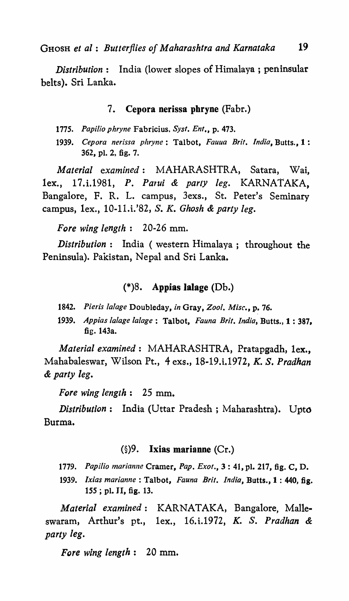GHOSH *et al: Butterflies of Maharashtra and Karnataka 19* 

*Distribution:* India (lower slopes of Himalaya; peninsular belts). Sri Lanka.

## 7. Cepora nerissa phryne (Fabr.)

- *1775. Papilio phryne* Fabricius, *Syst. Ent.,* p. 473.
- 1939. Cepora nerissa phryne: Talbot, Fauua Brit. India, Butts., 1: 362, pl. 2, fig. 7.

*Material examined:* MAHARASHTRA, Satara, Wai, lex., 17.i.198l, *P. PaTui* & *party leg.* KARNATAKA, Bangalore, F. R. L. campus, 3exs., St. Peter's Seminary campus, lex., 10-11.i.'82, S. *K. Ghosh* & *party leg.* 

*Fore wing length:* 20-26 mm.

*Distribution:* India ( western Himalaya; throughout the Peninsula). Pakistan, Nepal and Sri Lanka.

## $(*)8.$  Appias lalage (Db.)

- *1842. Pieris lalage* Doubleday, *in* Gray, *Zool. Misc.,* p. 76.
- *1939. Appias lalage la/age:* Talbot, *Fauna Brit. India,* Butts., 1 : 387, fig. 143a.

*Material examined:* MAHARASHTRA, Pratapgadh, lex., Mahabaleswar, Wilson Pt., 4 exs., 18-19.i.1972, *K. S. Pradhan* & *party leg.* 

*Fore wing length:* 25 mm.

*Distribution:* India (Uttar Pradesh; Maharashtra). Upto Burma.

#### $(\S)$ 9. Ixias marianne (Cr.)

1779. Papilio marianne Cramer, Pap. Exot., 3: 41, pl. 217, fig. C, D.

*1939. Ixias marianne:* Talbot, *Fauna Brit. India,* Butts., 1 : 440, fig. *ISS;* pl. II, fig. 13.

*Material examined:*  KARNATAKA, Bangalore, Malleswaram, Arthur's pt., lex., 16.i.1972, *K.* S. *Pradhan* & *party leg.* 

*Fore wing length*: 20 mm.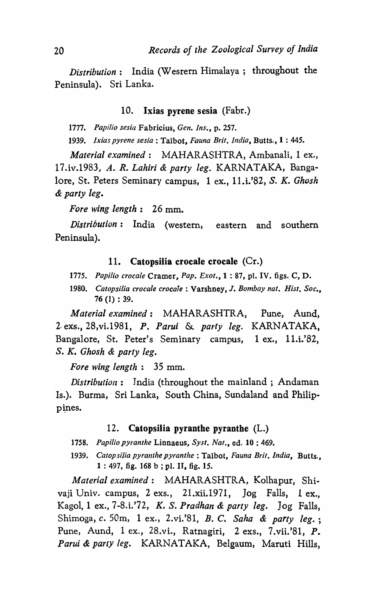*Distribution:* India (Wesrern Himalaya; throughout the Peninsula). Sri Lanka.

#### 10. Ixias pyrene sesia (Fabr.)

*1777. Papilio sesia* Fabricius, *Gen. Ins.,* p. 257.

1939. Ixias pyrene sesia : Talbot, *Fauna Brit. India*, Butts., 1 : 445.

*Material examined:* MAHARASIITRA, Ambanali, 1 ex., 17.iv.1983# *A. R. Lahiri* & *party leg\_* KARNATAKA, Bangalore, St. Peters Seminary campus, 1 ex., 11.i.'82, S. K. *Ghosh*  & *party leg.* 

*Fore wing length:* 26 mm.

*Distribution:* India (western, eastern and southern Peninsula).

#### 11. Catopsilia crocale crocale (Cr.)

- *1775. Papilio crocale* Cramer, *Pap. Exot.,* 1 : 87, pl. IV. figs. C, D.
- *1980. Catopsilia crocale crocale* : Varshney, J. *Bombay nat. Hisl. Soc.,*  76 (1) : 39.

*Material examined:* MAHARASHTRA, Pune, Aund, 2·exs.,28,vi.198I, P. *Parui* & *party leg.* KARNATAKA, Bangalore, St. Peter's Seminary campus, 1 ex., II.i.'82, S. K. *Ghosh* & *party leg.* 

*Fore wing length:* 35 mm.

*Distribution:* India (throughout the mainland; Andaman Is.). Burma, Sri Lanka, South China, Sundaland and Philippines.

#### 12. Catopsilia pyranthe pyranthe (L.)

1758. Papilio pyranthe Linnaeus, Syst. Nat., ed. 10:469.

*1939. Catopsilia pyranthe pyranthe* : Talbot, *Fauna Brit. India,* Butts., 1 : 497, fig. 168 b ; pl. IT, fig. 15.

*Material examined:* MAHARASHTRA, Kolhapur, Shivaji Univ. campus,  $2$  exs.,  $21.$ xii.1971, Jog Falls, 1 ex. Kagol,l ex., 7-8.i.'72, K. S. *Pradhan* & *party leg.* Jog Falls, Shimoga, c. SOm, 1 ex., 2.vi.'8I, B. C. *Saha* & *party leg.;*  Pune, Aund, 1 ex., 28.vi., Ratnagiri, 2 exs., 7.vii.'8I, P. Parui & party leg. KARNATAKA, Belgaum, Maruti Hills,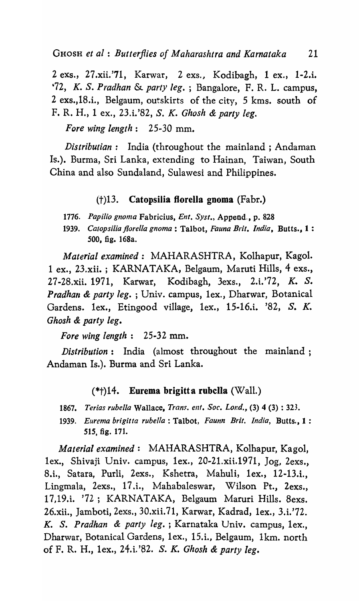2 exs., 27.xii.'71, Karwar, 2 exs., Kodibagh, 1 ex., I-2.i. *'72, K.* S. *Pradhan* & *party leg.* ; Bangalore, F. R. L. campus, 2 exs.,18.i., Belgaum, outskirts of the city, 5 kms. south of F. R. H., 1 ex., 23.i.'82, S. K. *Ghosh* & *party leg.* 

*Fore wing length*: 25-30 mm.

*Distributian:* India (throughout the mainland; Andaman Is.). Burma, Sri Lanka, extending to Hainan, Taiwan, South China and also Sundaland, Sulawesi and Philippines.

# (t)13. Catopsilia florella gnoma (Fabr.)

*1776. Papilio gnoma* Fabricius, *Ent. Syst.,* Append., p. 828

*1939. Catopsilia jlorel/a gnoma* : Talbot, *Fauna Brit. India,* Butts., 1 : 500, fig. 168a.

*Material examined:* MAHARASHTRA, Kolhapur, Kagol. lex., 23.xii. ; KARNATAKA, Belgaum, Maruti Hills, 4 exs., 27-28.xii. 1971, Karwar, Kodibagh, 3exs., 2.i.'72, K. S. *Pradhan & party leg.*; Univ. campus, 1ex., Dharwar, Botanical Gardens. lex., Etingood village, lex., 15·l6.i. '82, S. K. *Ghosh* & *party leg.* 

*Fore wing length* : 25-32 mm.

*Distribution:* India (almost throughout the mainland; Andaman Is.). Burma and Sri Lanka.

## $(*\dagger)$ 14. Eurema brigitta rubclla (Wall.)

- *1867. Terias rubella* Wallace, *Trans. en!. Soc. Lond.,* (3) 4 (3) : 323.
- *1939. Eurema brigitta rubella:* Talbot, *Faunn Brit. India,* Butts., 1 : 515, fig. 171.

*Material examined:* MAHARASHTRA, Kolhapur, Kagol, lex., Shivaji Univ. campus, 1ex., 20-21.xii.1971,  $\log$ , 2exs. 8.i., Satara, Purli, 2exs., Kshetra, Mahuli, lex., 12-l3.i., Lingmala, 2exs., 17.i., Mahabaleswar, Wilson Pt., 2exs., 17,19.i. '72; KARNATAKA, Belgaum Maruri Hills. 8exs. 26.xii., Jamboti, 2exs., 30.xii. 71, Karwar, Kadrad, lex., 3.i.'72. K. S. *Pradhan* & *party leg.* ; Karnataka Univ. campus, lex., Dharwar, Botanical Gardens, lex., IS.i., Belgaum, lkm. north of F. R. H., lex., 24.i. '82. S. *K. Ghosh* & *party leg.*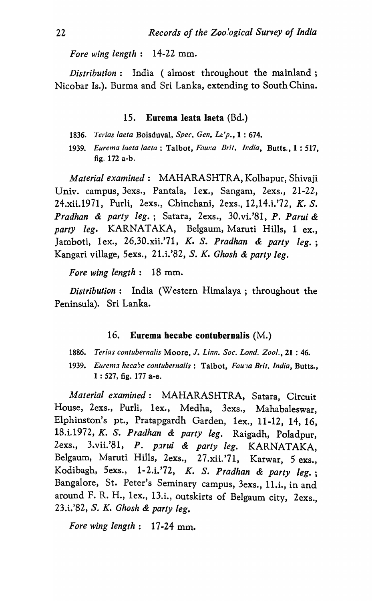*Fore wing length* : 14-22 mm.

*Distribution:* India (almost throughout the mainland; Nicobar Is.). Burma and Sri Lanka, extending to South China.

## 15. Eurema leata laeta (Bd.)

- *1836. Terias [aera* Boisduval, *Spec. Gen. Lt'p.,* 1 : 674.
- *1939. Eurema laeta laeta* : Talbot, *Faur.a Brit. India,* Butts., 1 : 517, fig. 172 a-b.

*Material examined:* MAHARASHTRA, Kolhapur, Shivaji Univ. campus, 3exs., Pantala, 1ex., Sangam, 2exs., 21-22, 24.xii.1971, Purli, 2exs., Chinchani, 2exs., 12,l4.i.'72, K. S. *Pradhan* & *party leg.;* Satara, 2exs., 30.vi.'81, *P. Parui &*  party leg. KARNATAKA, Belgaum, Maruti Hills, 1 ex., Jamboti, lex., 26,30.xii.'71, *K.* S. *Pradhan* & *party leg.;*  Kangari village, 5exs., 21.i.'82, S. *K. Ghosh* & *party leg.* 

*Fore wing length:* 18 mm.

*Distribution:* India (Western Himalaya; throughout the Peninsula). Sri Lanka.

#### 16. Eurema hecabe contubernalis (M.)

1886. Terias contubernalis Moore, J. Linn. Soc. Lond. Zool., 21:46.

1939. Eurema hecabe contubernalis: Talbot, *Fauva Brit, India*, Butts., 1 : 527, fig. 177 a-e.

*Material examined:* MAHARASHTRA, Satara, Circuit House, 2exs., Purli, lex., Medha, 3exs., Mahabaleswar, Elphinston's pt., Pratapgardh Garden, lex., 11-12, 14,16, 18.i.l972, *K.* S. *Pradhan* & *party leg.* Raigadh, Poladpur, 2exs., 3.vii.'81, P. parui & party leg. KARNATAKA, Belgaum, Maruti Hills, 2exs., 27 .xii. '71, Karwar, 5 exs., Kodibagh, 5exs., 1- 2.i.'72, *K.* S. *Pradhan* & *party leg.;*  Bangalore, St. Peter's Seminary campus, 3exs., Il.i., in and around F. R. H., lex., 13.i., outskirts of Belgaum city, 2exs., 23.i.'82, S. *K. Ghosh* & *party leg.* 

*Fore wing length:* 17-24 mm.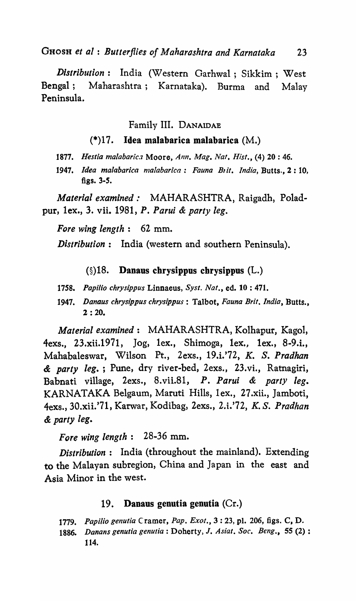GHOSH *et 0/* : *Butterflies of Maharoshtra and Karnataka 23* 

*Distribution:* India (Western Garhwal; Sikkim ; West Bengal; Maharashtra; Karnataka). Burma and Malay Peninsula.

# Family III. DANAIDAE

# $(*)$ 17. Idea malabarica malabarica  $(M.)$

- 1877. Hestia malabarica Moore, *Ann. Mag. Nat. Hist.*, (4) 20 : 46.
- 1947. Idea malabarica malabarica: Fauna Brit. India, Butts., 2:10, figs. 3-5.

*Material examined:* MAHARASHTRA, Raigadh, Poladpur, lex., 3. vii. 1981, *P. Parui* & *party leg.* 

*Fore wing length:* 62 mm.

*Distribution:* India (western and southern Peninsula).

## (§)18. Danaus chrysippus chrysippus (L.)

- *1758. Papilio chrysippus* Linnaeus, *Syst. Nat.,* ed. 10 : 471.
- *1947. Danaus chrysippus chrysippus* : Talbot, *Fauna Brit. India,* Butts., 2 : 20.

*Material examined:* MAHARASHTRA, Kolhapur, Kagol, 4exs., 23.xii.1971, Jog, lex., Shimoga, lex., lex., 8-9.i., Mahabaleswar, Wilson Pt., 2exs., 19.i.'72, K. S. *Pradhan*  & *party leg.;* Pune, dry river-bed, 2exs., 23.vi., Ratnagiri, Babnati village, 2exs., 8.vii.Sl, P. *Parui* & *party leg.*  KARNATAKA Belgaum, Maruti Hills, lex., 27.xii., Jamboti, 4exs., 30.xii.'7l, Karwar, Kodibag, 2exs., 2.i.'72, K. S. *Pradhan & party leg.* 

*Fore wing length:* 28-36 mm.

*Distribution:* India (throughout the mainland). Extending to the Malayan subregion, China and Japan in the east and Asia Minor in the west.

## 19. Danaus genutia genutia (Cr.)

1779. Papilio genutia Cramer, Pap. Exot., 3:23, pl. 206, figs. C, D.

*1886. Danans genutia genutia* : Doherty> J. *Asiat. Soc. Beng.,* 55 (2) : 114.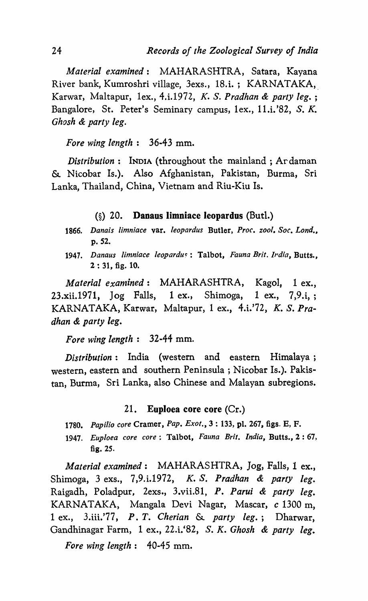*Material examined:* MAHARASHTRA, Satara, Kayana River bank, Kumroshri village, 3exs., 18.i.; KARNATAKA, Karwar, Maltapur, lex., 4.i.1972, *K.* S. *Pradhan* & *party leg. ;*  Bangalore, St. Peter's Seminary campus, lex., II.i.'82, S. K. *Ghosh* & *party leg.* 

# *Fore wing length:* 36-43 mm.

*Distribution:* INDIA (throughout the mainland; Ardaman & Nicobar Is.). Also Afghanistan, Pakistan, Burma, Sri Lanka, Thailand, China, Vietnam and Riu-Kiu Is.

## (§) 20. Danaus limniace leopardus (But!.)

- *1866. Danais limniace* var. *leopardus* Butler, *Proc. zool. Soc. Lond ••*  p.52.
- 1947. Danaus limniace leopardus: Talbot, *Fauna Brit. Irdia*, Butts., 2 : 31, fig. 10.

*Material exandned:* MAHARASHTRA, KagoI, 1 ex.,  $23. xii.1971$ ,  $Jog$  Falls,  $1 ex.,$  Shimoga,  $1 ex., 7,9.i.,;$ KARNATAKA, Karwar, Maltapur, 1 ex., 4.i.'72, K. S. *Pradhan* & *party leg.* 

## *Fore wing length:* 32·44 mm.

*Distribution:* India (western and eastern Himalaya; western, eastern and southern Peninsula; Nicobar Is.). Pakistan, Burma, Sri Lanka, also Chinese and Malayan subregions.

#### 21. Euploea core core (Cr.)

- *1780. Papilio core* Cramer, *Pap. Exot.,* 3 : 133, pl. 267, figs. E, F.
- *1947. Euploea core core:* Talbot, *Fauna Brit. India,* Butts., 2 : 67, fig. 25.

*Material examined:* MAHARASHTRA, Jog, Falls, 1 ex., Shimoga, 3 exs., 7,9.i.1972, *K.* S. *Pradhan* & *party leg.*  Raigadh, Poladpur, 2exs., 3.vii.81, *P. Parui* & *party leg.*  KARNATAKA, Mangala Devi Nagar, Mascar, *c* 1300 m, 1 ex., 3.iii.'77, *P. T. Cherian* & *party leg.;* Dharwar, Gandhinagar Farm, 1 ex., 22.i.'82, S. K. *Ghosh* & *party leg.* 

*Fore wing length*:  $40-45$  mm.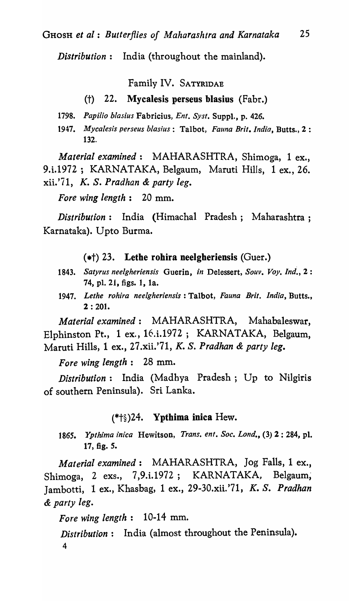*Distribution:* India (throughout the mainland).

Family IV. SATYRIDAE

#### (t) 22. Mycalesis perseus blasius (Fabr.)

*1798. Papilio blasius* Fabricius, *Ent. Syst.* Suppl., p. 426.

*1947. Mycalesis perseus blas;us:* Talbot, *Fauna Brit. India,* Butts., 2 : 132.

*Material examined:* MAHARASHTRA, Shimoga, 1 ex., 9.i.1972; KARNATAKA, Belgaum, Maruti Hills, 1 ex., 26. xii.'71, *K.* S. *Pradhan* & *party leg.* 

*Fore wing length:* 20 mm.

*Distribution:* India (Himachal Pradesh; Maharashtra; Karnataka). U pto Burma.

 $(*\dagger)$  23. Lethe rohira neelgheriensis (Guer.)

- 1843. *Satyrus neelgheriensis* Guerin, *in* Delessert, *Souv. Voy. Ind.,* 2 : 74, pI. 21, figs. 1, la.
- 1947. *Lethe rohira neelgheriensis:* Talbot, *Fauna Brit. India,* Butts., 2 : 201.

*Material examined:* MAHARASHTRA, Mahabaleswar, Elphinston Pt., 1 ex., 16.i.1972; KARNATAKA, Belgaum, Maruti Hills, 1 ex., 27.xii.'71, *K.* S. *Pradhan* & *party leg.* 

*Fore wing length:* 28 mm.

*Distribution:* India (Madhya Pradesh; Up to Nilgiris of southern Peninsula). Sri Lanka.

### (\*t§)24. Ypthima inica Hew.

*1865. Ypthlma inica* Hewitson, *Trans. en!. Soc. Lond.,* (3) 2 : 284, pI. 17, fig. S.

*Material examined:* MAHARASHTRA, Jog Falls, 1 ex., Shimoga, 2 exs., 7,9.i.1972; KARNATAKA, Belgaum, Jambotti, 1 ex., Khasbag, 1 ex., 29-30.xii.'71, *K.* S. *Pradhan*  & *party leg.* 

*Fore wing length:* 10-14 mm.

*Distribution:* India (almost throughout the Peninsula). 4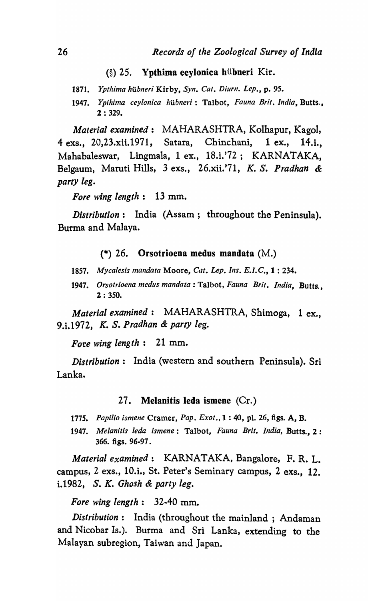## $(\S)$  25. Ypthima eeylonica hübneri Kir.

1871. *Ypthima hübneri Kirby, Syn. Cat. Diurn. Lep.*, p. 95.

*1947. Ypihima ceylonica /;ubneri:* Talbot, *Fauna Brit. India,* Butts., 2 : 329.

*Material examined:* MAHARASHTRA, Kolhapur, Kagol, 4 exs., 20,23.xii.1971, Satara, Chinchani, 1 ex., 14.i., Mahabaleswar, Lingmala, 1 ex., 18.i.'72; KARNATAKA, Belgaum, Maruti Hills, 3 exs., 26.xii.'71, *K.* S. *Pradhan* & *party leg.* 

*Fore wing length:* 13 mm.

*Distribution:* India (Assam; throughout the Peninsula). Burma and Malaya.

(\*) 26. Orsotrioena medus mandata (M.)

- *1857. Mycalesis mandata* Moore, *Cat. Lep. Ills. E.I.C.,* 1 : 234.
- *1947. Orsotrioena medus mandata:* Talbot, *Fauna Brit. India,* Butts., 2 : 350.

*Material examined:* MAHARASHTRA, Shimoga, 1 ex., 9.i.1972, K. S. *Pradhan* & *party leg.* 

*Fore wing length:* 21 mm.

*Distribution:* India (western and southern Peninsula). Sri Lanka.

#### 27. Melanitis leda ismene  $(Cr.)$

- *1775. Papilio ismene* Cramer, *Pap. Exot.,* 1 : 40, pI. 26, figs. A, B.
- *1947. Melanitis leda ismene:* Talbot, *Fauna Brit. India,* Butts., 2 : 366. figs. 96-97.

*Material examined:* KARNATAKA, Bangalore, F. R. L. campus, 2 exs., 10.i., St. Peter's Seminary campus, 2 exs., 12. i.1982, s. K. *Ghosh* & *party leg.* 

*Fore wing length:* 32-40 mm.

*Distribution:* India (throughout the mainland ; Andaman and Nicobar Is.). Burma and Sri Lanka, extending to the Malayan subregion, Taiwan and Japan.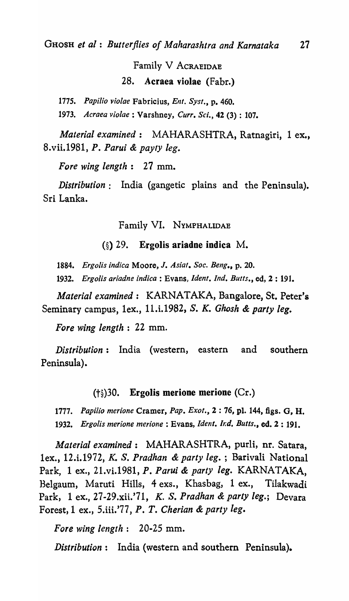# Family V ACRAEIDAE 28. Acraea violae (Fabr.)

*1775. Papilio violae* Fabricius, *Ent. Syst.,* p. 460.

*1973. Acraea violae* : Varshney, *Curr. Sci.,* 42 (3) : 107.

*Material examined:* MAHARASHTRA, Ratnagiri, I ex., 8.vii.1981, *P. Parui* & *paylY leg.* 

*Fore wing length:* 27 mm.

*Distribution:* India (gangetic plains and the Peninsula). Sri Lanka.

Family VI. NYMPHALlDAE

## $(\S)$  29. Ergolis ariadne indica M.

*1884. Ergo/is indica* Moore, J. *Asia!. Soc. Bellg.,* p. 20.

*1932. Ergolis ariadne indica:* Evans, *Ident. Ind. Butts.,* ed, 2 : 191.

*Material examined:* KARNATAKA, Bangalore, St. Peter's Seminary campus, lex., 11.i.1982, S. *K. Ghosh* & *party leg.* 

*Fore wing length* : 22 mm.

*Distribution:* India (western, eastern and southern Peninsula).

## (t§)30. Ergolis merione merione (Cr.)

*1777. Papilio merione* Cramer, *Pap. Exot.,* 2 : 76, pl. 144, figs. 0, H.

1932. *Ergolis merione merione* : Evans, *Ident. Ir.d. Butts.*, ed. 2 : 191.

*Material examined:* MAHARASHTRA, purli, nr. Satara, lex., 12.i.1972, *K.* S. *Pradhan* & *party leg.* ; Barivali National Park, 1 ex., 21.vi.1981, *P. Parui* & *party leg.* KARNATAKA, Belgaum, Maruti Hills, 4 exs., Khasbag, I ex., Tilakwadi Park, 1 ex., 27-29.xii.'71, K. S. *Pradhan* & *party leg.;* Devara Forest,l ex., S.iii.'77, *P. T. Cherian* & *party leg.* 

*Fore wing length:* 20-25 mm.

*Distribution:* India (western and southern Peninsula).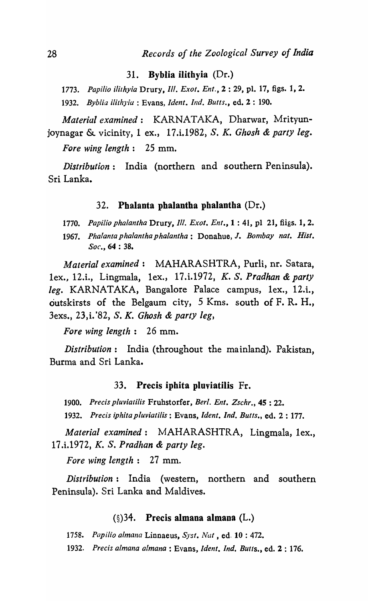### 31. Byblia ilithyia  $(Dr.)$

1773. *Papilio jlirhyia* Drury, *Ill. Exot. En!.,* 2 : 29, pI. 17, figs. 1, 2. 1932. *Byblia i1ithy/a* : Evans, *Ident. Ind. Butts.,* ed. 2 : 190.

*Material examined:* KARNATAKA, Dharwar, Mrityunjoynagar & vicinity, 1 ex., 17.i.1982, S. *K. Ghosh* & *party leg. Fore wing length:* 25 mm.

*Distribution:* India (northern and southern Peninsula). Sri Lanka.

## 32. Phalanta phalantha phalantha (Dr.)

1770. *Papifio phalanlha* Drury, *Ill. Exot. Ent.,* 1 : 41, pI 21, fiigs. 1, 2.

1967. Phalanta phalantha phalantha: Donahue, J. Bombay nat. Hist. *Soc.,* 64 : 38.

*Material examined:* MAHARASHTRA, Purli, nr. Satara, lex., 12.i., Lingmala, lex., 17.i.1972, *K.* S. *Pradhan* & *party leg.* KARNATAKA, Bangalore Palace campus, lex., 12.i., outskirsts of the Belgaum city, 5 Kms. south of F. R. H., 3exs., 23, i. '82, S. *K. Ghosh* & *party leg,* 

*Fore wing length:* 26 mm.

*Distribution*: India (throughout the mainland). Pakistan, Burma and Sri Lanka.

#### 33. Precis ipbita pluviatilis Fr.

1900. *Precis pluviatilis* Fruhstorfer, *Berl. Ent. Zschr.,* 4S : 22.

1932. *Precis iphitapluviatilis:* Evans, *[dent. Ind. Butts.,* ed. 2 : 177.

*Material examined:* MAHARASHTRA, Lingmala, lex., 17.i.1972, *K.* S. *Pradhan* & *party leg.* 

*Fore wing length:* 27 mm.

*Distribution:* India (western, northern and southern Peninsula). Sri Lanka and Maldives.

## $(\S)$ 34. Precis almana almana (L.)

*1758. Papilio ailnana* Linnaeus, *Syst. Nat,* ed. 10 : 472.

1932. *Precis a/mana almana* : Evans, *Ident. Ind. Butts.,* ed. 2 : 176.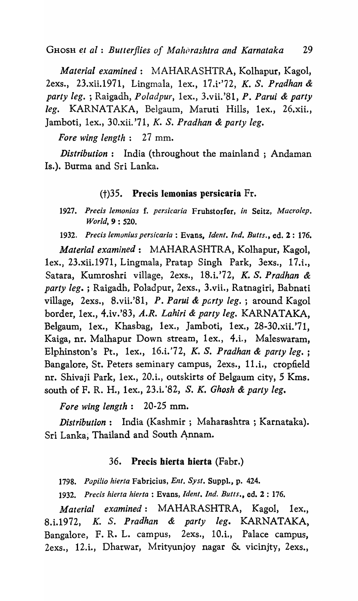*Material examined:* MAHARASHTRA, Kolhapur, Kagol, 2exs., 23.xii.1971, Lingmala, lex., 17.i·'72, *K.* S. *Pradhan* & *party leg.* ; Raigadh, *Po/adpur,* lex., 3.vii.'81, *P. Parui* & *party*  leg. KARNATAKA, Belgaum, Maruti Hills, 1ex., 26.xii., Jamboti, lex., 30.xii. '71, K. S. *Pradhan* & *party leg.* 

*Fore wing length:* 27 mm.

*Distribution:* India (throughout the mainland; Andaman Is.). Burma and Sri Lanka.

## (t)35. Precis lemonias persicaria Fr.

*1927. Precis lemonias* f. *persicaria* Frubstorfer, *in* Seitz, *Macro/ep. World,* 9 : 520.

*1932. Precis lemonius persicaria* : Evans, *[dent. Ind. Butts.,* ed. 2: 176.

*Material examined:* MAHARASHTRA, Kolhapur, Kagol, lex., 23.xii.197l, Lingmala, Pratap Singh Park, 3exs., 17.t, Satara, Kumroshri village, 2exs., 18.i.'72, K. S. *Pradhan* & *party leg.* ; Raigadh, Poladpur, 2exs., 3.vii., Ratnagiri, Babnati village, 2exs., 8.vii.'81, P. Parui & party leg.; around Kagol border, lex., 4.iv.'83, *A.R. Lahiri* & *party leg.* KARNATAKA, Belgaum, lex., Khasbag, lex., Jamboti, lex., 28-30.xii.'71, Kaiga, nr. Malhapur Down stream, lex., 4.i., Maleswaram, Elphinston's Pt., lex., l6.i.'72, *K.* S. *Pradhan* & *party leg. ;*  Bangalore, St. Peters seminary campus, 2exs., 11.i., cropfield nr. Shivaji Park, 1ex., 20.i., outskirts of Belgaum city, 5 Kms. south of F. R. H., lex., 23.i. '82, S. *K. Ghosh* & *party leg.* 

*Fore wing length:* 20-25 mm.

*Distribution:* India (Kashmir; Maharashtra; Karnataka). Sri Lanka; Thailand and South Annam.

## 36. Precis hierta bierta (Fabr.)

*1798. Papilio hierta* Fabricius, *Ent. Syst.* Suppl., p. 424.

1932. Precis hierta hierta : Evans, *Ident. Ind. Butts., ed. 2 : 176.* 

*Material examined:* MAHARASHTRA, KagoI, lex., 8.i.1972, *K. S. Pradhan & party leg.* KARNATAKA, Bangalore, F. R. L. campus, 2exs., 10.i., Palace campus, 2exs., l2.i., Dhatwar, Mrityunjoy nagar & vicinjty, 2exs.,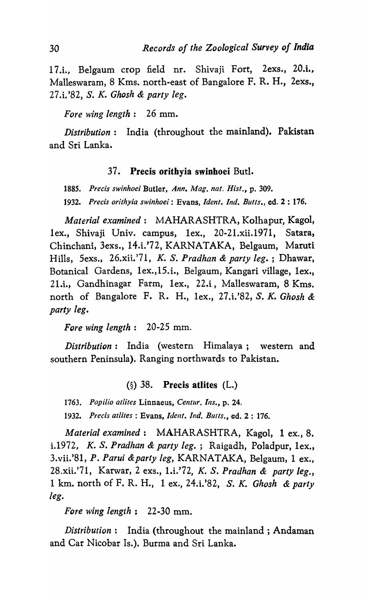17.i., Belgaum crop field nr. Shivaji Fort, 2exs., 20.i., Malleswaram, 8 Kms. north-east of Bangalore F. R. H., 2exs., 27.i.'82, S. K. *Ghosh* & *party leg.* 

*Fore wing length:* 26 mm.

*Distribution:* India (throughout the mainland). Pakistan and Sri Lanka.

## 37. Precis orithyia swinhoei But!.

*1885. Precis swinhoei* Butler, *Ann. Mag. nat. Hisl.,* p. 309. *1932. Precis orithyia swinhoei:* Evans, *Idenl. Ind. Butts.,* ed. 2 : 176.

*Material examined:* MAHARASHTRA, Kolhapur, Kagol, lex., Shivaji Univ. campus, lex., 20-21.xii.1971, Satara, Chinchani, 3exs., 14.i.'72, KARNATAKA, Belgaum, Maruti Hills, 5exs., 26.xit.'71, K. S. *Pradhan* & *party leg.* ; Dhawar, Botanical Gardens, lex.,l5.i., BeIgaum, Kangari village, lex., 21.i., Gandhinagar Farm, lex., 22.i, Malleswaram, 8 Kms. north of Bangalore F. R. H., lex., 27.i.'82, S. K. *Ghosh* & *party leg.* 

*Fore wing length:* 20-25 mm.

*Distribution:* India (western Himalaya; western and southern Peninsula). Ranging northwards to Pakistan.

# (§) 38. Precis atlites (L.)

1763. Papilio atlites Linnaeus, Centur. Ins., p. 24.

1932. Precis atlites : Evans, *Ident. Ind. Butts.*, ed. 2 : 176.

*Material examined:* MAHARASHTRA, Kagol, 1 ex., 8. i.1972, K. S. *Pradhan* & *party leg.;* Raigadh, Poladpur, lex., 3.vii.'8l, *P. Parui &party leg,* KARNATAKA, Belgaum, 1 ex., 28.xii.'71, Karwar, 2 exs., 1.i.'72, K. S. *Pradhan* & *party leg.,*  1 km. north of F. R. H., 1 ex., 24.i.'82, S. K. *Ghosh* & *party leg.* 

*Fore wing length;* 22-30 mm.

*Distribution:* India (throughout the mainland; Andaman and Car Nicobar Is.). Burma and Sri Lanka.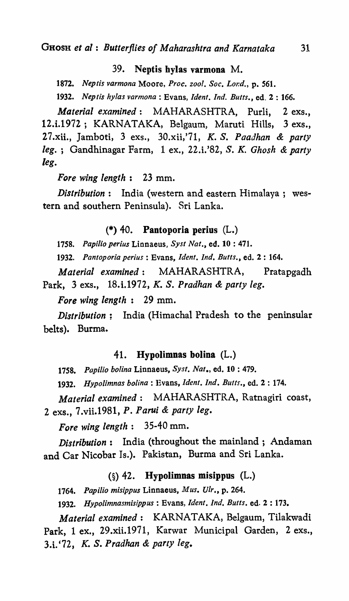## 39. Neptis bylas varmona M.

*1872. Neptis varmona* Moore, *Proc. zool. Soc. L01:d.,* p. 561.

*1932. Neptis hylas varmona* : Evans, *[dent. Ind. Butts.,* ed. 2 : 166.

*Material examined:* MAHARASHTRA, Purli, 2 exs., 12.i.1972; KARNATAKA, Belgaum, Maruti Hills, 3 exs., 27.xii., Jamboti, 3 exs., 30.xii,'71, K. S. *Paadhan* & *party leg.* ; Gandhinagar Farm, 1 ex., 22.i.'82, S. K. *Ghosh* & *party leg.* 

*Fore wing length:* 23 mm.

*Distribution:* India (western and eastern Himalaya; western and southern Peninsula). Sri Lanka.

(\*) 40. Pantoporia perius (L.)

1758. Papilio perius Linnaeus, Syst Nat., ed. 10:471.

1932. Pantoporia perius : Evans, *Ident. Ind. Butts.*, ed. 2 : 164.

*Material examined:* MAHARASHTRA, Pratapgadh Park, 3 exs., 18.i.1972, *K.* S. *Pradhan* & *party leg.* 

*Fore wing length:* 29 mm.

*Distribution;* India (Himachal Pradesh to the peninsular belts). Burma.

#### 41. Hypolimnas bolina (L.)

1758. Papilio bolina Linnaeus, Syst. Nat., ed. 10:479.

1932. Hypolimnas bolina : Evans, *Ident. Ind. Butts.*, ed. 2 : 174.

*Material examined:* MAHARASHTRA, Ratnagiri coast, 2 exs., 7.vii.1981, *P. Parui* & *party leg.* 

*Fore wing length:* 35-40 mm.

*Distribution:* India (throughout the mainland; Andaman and Car Nicobar Is.). Pakistan, Burma and Sri Lanka.

#### (§) 42. Hypolimnas misippus (L.)

*1764. Papilio misippus* Linnaeus, *Mus. Vir.,* p. 264.

1932. *Hypolimnasmisippus:* Evans, *[dent. Ind. Butts.* ed. 2 : 173.

*Material examined:* KARNATAKA, Belgaum, Tilakwadi Park, 1 ex., 29.xii.1971, Karwar Municipal Garden, 2 exs., 3.t '72, *K.* S. *Pradhan* & *party leg.*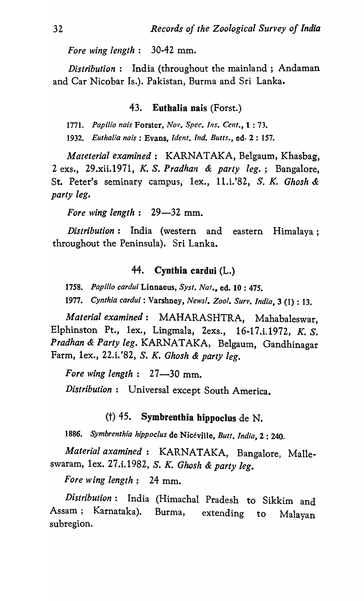*Fore wing length:* 30-42 mm.

*Distribution:* India (throughout the mainland; Andaman and Car Nicobar Is.). Pakistan, Burma and Sri Lanka.

## 43. EuthaIia nais (Forst.)

1771. *Papilio nais* Forster, *Nov. Spec. Ins. Cent.,* t : 73.

1932. Euthalia nais: Evans, *Ident, Ind. Butts.*, ed. 2:157.

*Mateterial examined:* KARNATAKA, Belgaum, Khasbag, 2 exs., 29.xii.1971, *K.* S. *Pradhan* & *party leg.;* Bangalore, St. Peter's seminary campus, 1ex., 11.i.'82, S. K. Ghosh & *party leg.* 

*Fore wing length:* 29-32 mm.

*Distribution:* India (western and eastern Himalaya; throughout the Peninsula). Sri Lanka.

## 44. Cynthia cardui (L.)

1758. Papilio cardui Linnaeus, Syst. Nat., ed. 10: 475.

*1977. Cynthia cardui* : Varshney, *News!. Zoo!. Surv. India,* 3 (1) : 13.

*Material examined:* MAHARASHTRA, Mahabaleswar, Elphinston Pt., 1ex., Lingmala, 2exs., 16-17.i.1972, K. S. *Pradhan* & *Party leg.* KARNATAKA, Belgaum, Gandhinagar Farm, lex., 22.i. '82, S. *K. Ghosh* & *party leg.* 

*Fore wing length* : 27-30 mm.

*Distribution:* Universal except South America.

# (t) 45. Symbrenthia hippoclus de N.

*1886. Symbrenthia hippoc/us* de Niceville, *Butt. India,* 2 : 240.

Material axamined: KARNATAKA, Bangalore, Malleswaram, lex. 27.i.1982, S. *K. Ghosh* & *party leg.* 

*Fore wing length;* 24 mm.

*Distribution:* India (Himachal Pradesh to Sikkim and Assam; Karnataka). Burma, extending to Malayan subregion.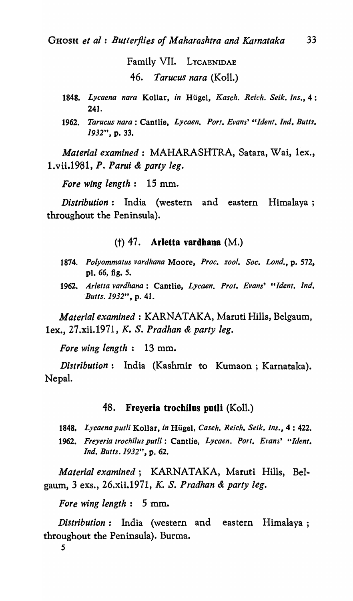Family VII. LYCAENIDAE 46. *Tarucus nara* (Koll.)

- *1848. Lycaena nara* Kollar, *in* Hiigel, *Kasch. Reich. Seik. Ins.,* 4 : 241.
- 1962. *Tarucus nara* : Cantlie, *Lycaen. Port. Evans' "Ident. Ind. Butts.*  1932", p. 33.

*Material examined:* MAHARASHTRA, Satara, Wai, lex., 1.vii.1981, *P. Parui* & *party leg.* 

*Fore wing length:* 15 mm.

*Distribution:* India (western and eastern Himalaya; throughout the Peninsula).

## (t) 47. Arletta vardhana (M.)

- *1874. Polyommatus vardhana* Moore, *Proc. zoo!. Soc. Lond.,* p. 572, pl. 66, fig. 5.
- 1962. *Ar/etta vardhana:* Cantlie, *Lycaen. Prot. Evans' "Ident. Ind. -Butts.* 1932", p. 41.

*Material examined:* KARNATAKA, Maruti Hills, Belgaum, lex., 27.xii.l971, *K.* S. *Pradhan* & *party leg.* 

*Fore wing length:* 13 mm.

*Distribution:* India (Kashmir to Kumaon; Karnataka). Nepal.

# 48. Freyeria trochilus putli (Koll.)

- *1848. Lycaena putli* Kollar, *in* Hugel, *Caseh. Reich. Seik. Ins.,* 4 : 422.
- 1962. *Freyeria trochilus putli*: Cantlie, Lycaen. Port. Evans' "Ident. *Ind. Butts.* 1932", p. 62.

*Material examined;* KARNATAKA, Maruti Hills, Belgaum, 3 exs., 26.xii.1971, *K.* S. *Pradhan* & *party leg.* 

*Fore wing length:* 5 mm.

*Distribution:* India (western and eastern Himalaya; throughout the Peninsula). Burma.

5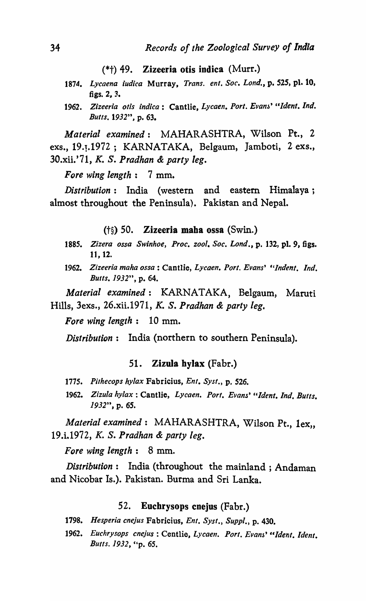$(*<sub>†</sub>)$  49. Zizeeria otis indica (Murr.)

- *1874. Lycaena iudica* Murray, *Trans. ent. Soc. Lond.,* p. 525, pl. 10, figs. 2, 3.
- 1962. *Zizeeria otis indica*: Cantlie, Lycaen. Port. Evans' "Ident. Ind. *Butts.* 1932", p. 63.

*Material examined:* MAHARASHTRA, Wilson Pt., 2 exs., 19.<sub>1</sub>.1972; KARNATAKA, Belgaum, Jamboti, 2 exs., 30.xii.'71, *K.* S. *Pradhan* & *party leg.* 

*Fore wing length:* 7 mm.

*Distribution:* India (western and eastern Himalaya; almost throughout the Peninsula). Pakistan and Nepal.

(t§) 50. Zizeeria maha ossa (Swin.)

- *1885. Z;zera ossa Swinhoe, Proc. zoo!. Soc. Lond.,* p. 132, pl. 9, figs. 11, 12.
- 1962. *Zizeeria maha ossa:* Cantlie, *Lycaen. PorI. Evans' "Indent. Ind. Butts.* 1932", p. 64.

*Material examined:* KARNATAKA, Belgaum, Maruti Hills, 3exs., 26.xii.1971, *K.* S. *Pradhan* & *party leg.* 

*Fore wing length:* 10 mm.

*Distribution:* India (northern to southern Peninsula).

#### 51. Zizula hylax (Fabr.)

- 1775. Pithecops hylax Fabricius, *Ent. Syst.*, p. 526.
- 1962. *Zizula hylax* : Cantlie, *Lycaen. Port. Evans' "Ident. Ind. Butts.*  1932", p. 65.

*Material examined*: MAHARASHTRA, Wilson Pt., 1ex,, 19.i.1972, *K.* S. *Pradhan* & *party leg.* 

*Fore wing length:* 8 mm.

*Distribution:* India (throughout the mainland; Andaman and Nicobar Is.). Pakistan. Burma and Sri Lanka.

## 52. Euchrysops cnejus (Fabr.)

- *1798. Hesperia cnejus* Fabricius, *Ent. Syst., Suppl.,* p. 430.
- 1962. *Euchrysops cnejus*: Centlie, *Lycaen. Port. Evans'* "Ident. Ident. *Butts.* 1932, "p. 65.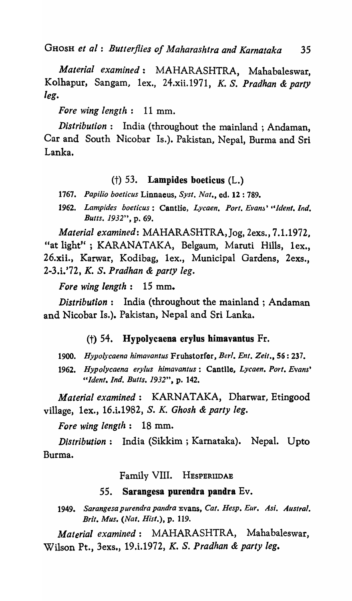GHOSH *et oJ: Butterflies of Maharashtra and Karnataka* 35

*Material examined:* MAHARASHTRA, Mahabaleswar, Kolhapur, Sangam, lex., 24.xii.1971, K. S. *Pradhan* & *party leg.* 

*Fore wing length:* 11 mm.

*Distribution:* India (throughout the mainland; Andaman, Car and South Nicobar Is.). Pakistan, Nepal, Burma and Sri Lanka.

# $(+)$  53. Lampides boeticus  $(L.)$

1767. Papilio boeticus Linnaeus, Syst. Nat., ed. 12:789.

*1962. Lampides boeticus:* Cantlie, *Lycaen. Port. Evanj' "ldenl. Ind. Butts.* 1932", p. 69.

*Material examined:* MAHARASHTRA,Jog, 2exs., 7.1.1972, "at light" ; KARANATAKA, Belgaum, Maruti Hills, lex., 26.xii., Karwar, Kodibag, lex., Municipal Gardens, 2exs., 2-3.i.'72, *K.* S. *Pradhan* & *party leg.* 

*Fore wing length:* 15 mm.

*Distribution:* India (throughout the mainland; Andaman and Nicobar Is.). Pakistan, Nepal and Sri Lanka.

#### (t) 54. Hypolycaena erylus himavantus Fr.

1900. *Hypoiycaena himavantus* Fruhstorfer, *Berl. Ent. Zeit.,* 56: 237.

1962. *Hypoiycaena eryius himavantus:* Cantlie, *Lycaen. Port. Evans' "Ident. Ind. Butts.* 1932", p. 142.

*Material examined:* KARNATAKA, Dharwar, Etingood village, lex., 16.i.1982, S. *K. Ghosh* & *party leg.* 

*Fore wing length:* 18 mm.

*Distribution:* India (Sikkim ; Kamataka). Nepal. Upto Burma.

Family VIII. HESPERllDAB

## 55. Sarangesa purendra pandra Ev.

1949. Sarangesa purendra pandra *Evans, Cat. Hesp. Eur. Asi. Austral. Brit. Mus. (Nat. Hisl.),* p. 119.

*Material examined:* MAHARASHTRA, Mahabaleswar, Wilson Pt., 3exs., 19.i.1972, *K.* S. *Pradhan* & *party leg.*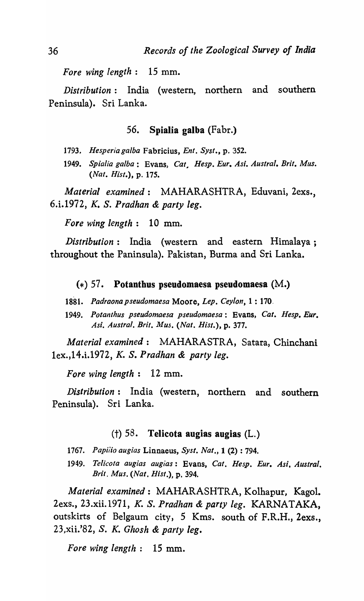*Fore wing length:* 15 mm.

*Distribution:* India (western, northern and southern Peninsula). Sri Lanka.

# 56. Spialia galba (Fabr.)

- *1793. Hesperia galba* Fabricius, *Ent. Sysl.,* p. 352.
- 1949. *Spialia galba:* Evans, *Cat, Hesp. Eur. Asi. Austral. Brit. Mus. (Nat. Hisl.),* p. 175.

*Material examined:* MAHARASHTRA, Eduvani, 2exs., 6.i.1972, *K.* S. *Pradhan* & *party leg.* 

*Fore wing length:* 10 mm.

*Distribution:* India (western and eastern Himalaya; throughout the Paninsula). Pakistan, Burma and Sri Lanka.

#### $(*)$  57. Potanthus pseudomaesa pseudomaesa  $(M.)$

- *1881. Padraonapseudomaesa* Moore, *Lep. Ceylon,* 1 : 170.
- 1949. *Potanlhus pseudomaesa pseudomaesa:* Evans, *Cat. Hesp. Eur. Asi. Austral. Brit. Mus. (Nat. Hisl.),* p. 377.

*Material examined:* MAHARASTRA, Satara, Chinchani 1ex.,14.i.1972, *K.* S. *Pradhan* & *party leg.* 

*Fore wing length:* 12 mm.

*Distribution:* India (western, northern and southern Peninsula). Sri Lanka.

## (†)  $58$ . Telicota augias augias (L.)

- *1767. Papiiio augias* Linnaeus, *Sysl. Nat.,* 1 (2) : 794.
- *1949. Telicola augias augias:* Evans, *Cat. Hesp. Eur. Asi. Austral. Bril. Mus. (Nal. Hisl.),* p. 394.

*Material examined:* MAHARASHTRA, Kolhapur, Kagol. 2exs., 23.xii.1971, *K.* S. *Pradhan* & *party leg.* KARNATAKA, outskirts of Belgaum city, 5 Kms. south of F.R.H., 2exs., 23,xii.'82, S. *K. Ghosh* & *party leg.* 

*Fore wing length:* 15 mm.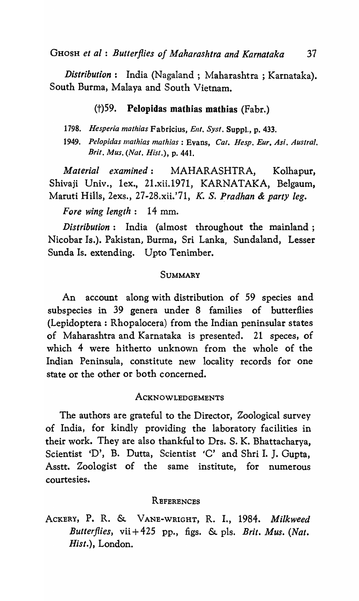*Distribution*: India (Nagaland; Maharashtra; Karnataka). South Burma, Malaya and South Vietnam.

# (t)59. PeJopidas mathias mathias (Fabr.)

1798. Hesperia mathias Fabricius, Ent. Syst. Suppl., p. 433.

1949. Pelopidas mathias mathias: Evans, Cat. Hesp. Eur. Asi. Austral. *Brit. Mus. (Nat. Hisl.),* p. 441.

*Material examined:* MAHARASHTRA, Kolhapuf, Shivaji Univ., 1ex., 21.xii.1971, KARNATAKA, Belgaum, Maruti Hills, 2exs., 27 -28.xii.'?1, K. S. *Pradhan* & *party leg.* 

*Fore wing length:* 14 mm.

*Distribution:* India (almost throughout the mainland; Nicobar Is.). Pakistan, Burma, Sri Lanka, Sundaland, Lesser Sunda Is. extending. Upto Tenimber.

## SUMMARY

An account along with distribution of 59 species and subspecies in 39 genera under 8 families of butterflies (Lepidoptera: Rhopalocera) from the Indian peninsular states of Maharashtra and Karnataka is presented. 21 speces, of which 4 were hitherto unknown from the whole of the Indian Peninsula, constitute new locality records for one state or the other or both concerned.

## ACKNOWLEDGEMENTS

The authors are grateful to the Director, Zoological survey of India, for kindly providing the laboratory facilities in their work. They are also thankful to Drs. S. K. Bhattacharya, Scientist 'D', B. Dutta, Scientist 'C' and Shri I. J. Gupta, Asstt. Zoologist of the same institute, for numerous courtesies.

## **REFERENCES**

ACKERY, P. R. & VANE-WRIGHT, R. I., 1984. *Milkweed Butterflies,* vii + 425 pp., figs. & pIs. *Brit. Mus. (Nat. Hist.),* London.